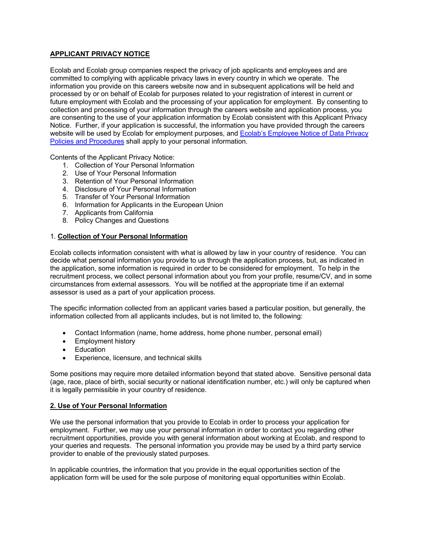# **APPLICANT PRIVACY NOTICE**

Ecolab and Ecolab group companies respect the privacy of job applicants and employees and are committed to complying with applicable privacy laws in every country in which we operate. The information you provide on this careers website now and in subsequent applications will be held and processed by or on behalf of Ecolab for purposes related to your registration of interest in current or future employment with Ecolab and the processing of your application for employment. By consenting to collection and processing of your information through the careers website and application process, you are consenting to the use of your application information by Ecolab consistent with this Applicant Privacy Notice. Further, if your application is successful, the information you have provided through the careers website will be used by Ecolab for employment purposes, and Ecolab's Employee Notice of Data Privacy Policies and Procedures shall apply to your personal information.

Contents of the Applicant Privacy Notice:

- 1. Collection of Your Personal Information
- 2. Use of Your Personal Information
- 3. Retention of Your Personal Information
- 4. Disclosure of Your Personal Information
- 5. Transfer of Your Personal Information
- 6. Information for Applicants in the European Union
- 7. Applicants from California
- 8. Policy Changes and Questions

#### 1. **Collection of Your Personal Information**

Ecolab collects information consistent with what is allowed by law in your country of residence. You can decide what personal information you provide to us through the application process, but, as indicated in the application, some information is required in order to be considered for employment. To help in the recruitment process, we collect personal information about you from your profile, resume/CV, and in some circumstances from external assessors. You will be notified at the appropriate time if an external assessor is used as a part of your application process.

The specific information collected from an applicant varies based a particular position, but generally, the information collected from all applicants includes, but is not limited to, the following:

- Contact Information (name, home address, home phone number, personal email)
- Employment history
- Education
- Experience, licensure, and technical skills

Some positions may require more detailed information beyond that stated above. Sensitive personal data (age, race, place of birth, social security or national identification number, etc.) will only be captured when it is legally permissible in your country of residence.

## **2. Use of Your Personal Information**

We use the personal information that you provide to Ecolab in order to process your application for employment. Further, we may use your personal information in order to contact you regarding other recruitment opportunities, provide you with general information about working at Ecolab, and respond to your queries and requests. The personal information you provide may be used by a third party service provider to enable of the previously stated purposes.

In applicable countries, the information that you provide in the equal opportunities section of the application form will be used for the sole purpose of monitoring equal opportunities within Ecolab.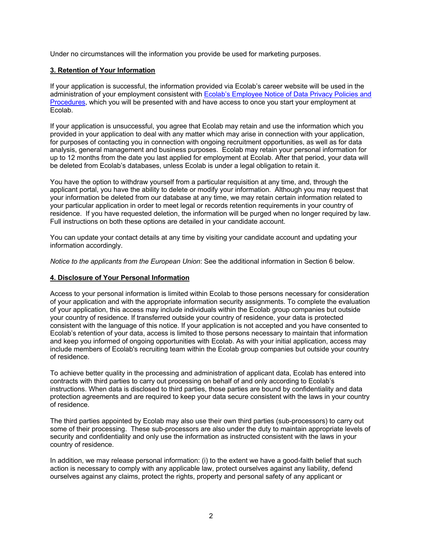Under no circumstances will the information you provide be used for marketing purposes.

## **3. Retention of Your Information**

If your application is successful, the information provided via Ecolab's career website will be used in the administration of your employment consistent with Ecolab's Employee Notice of Data Privacy Policies and Procedures, which you will be presented with and have access to once you start your employment at Ecolab.

If your application is unsuccessful, you agree that Ecolab may retain and use the information which you provided in your application to deal with any matter which may arise in connection with your application, for purposes of contacting you in connection with ongoing recruitment opportunities, as well as for data analysis, general management and business purposes. Ecolab may retain your personal information for up to 12 months from the date you last applied for employment at Ecolab. After that period, your data will be deleted from Ecolab's databases, unless Ecolab is under a legal obligation to retain it.

You have the option to withdraw yourself from a particular requisition at any time, and, through the applicant portal, you have the ability to delete or modify your information. Although you may request that your information be deleted from our database at any time, we may retain certain information related to your particular application in order to meet legal or records retention requirements in your country of residence. If you have requested deletion, the information will be purged when no longer required by law. Full instructions on both these options are detailed in your candidate account.

You can update your contact details at any time by visiting your candidate account and updating your information accordingly.

*Notice to the applicants from the European Union*: See the additional information in Section 6 below.

## **4. Disclosure of Your Personal Information**

Access to your personal information is limited within Ecolab to those persons necessary for consideration of your application and with the appropriate information security assignments. To complete the evaluation of your application, this access may include individuals within the Ecolab group companies but outside your country of residence. If transferred outside your country of residence, your data is protected consistent with the language of this notice. If your application is not accepted and you have consented to Ecolab's retention of your data, access is limited to those persons necessary to maintain that information and keep you informed of ongoing opportunities with Ecolab. As with your initial application, access may include members of Ecolab's recruiting team within the Ecolab group companies but outside your country of residence.

To achieve better quality in the processing and administration of applicant data, Ecolab has entered into contracts with third parties to carry out processing on behalf of and only according to Ecolab's instructions. When data is disclosed to third parties, those parties are bound by confidentiality and data protection agreements and are required to keep your data secure consistent with the laws in your country of residence.

The third parties appointed by Ecolab may also use their own third parties (sub-processors) to carry out some of their processing. These sub-processors are also under the duty to maintain appropriate levels of security and confidentiality and only use the information as instructed consistent with the laws in your country of residence.

In addition, we may release personal information: (i) to the extent we have a good-faith belief that such action is necessary to comply with any applicable law, protect ourselves against any liability, defend ourselves against any claims, protect the rights, property and personal safety of any applicant or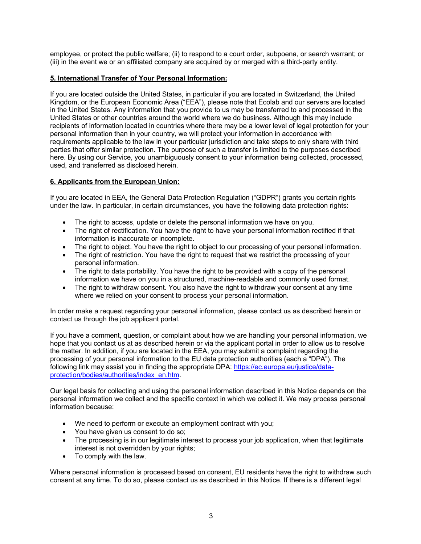employee, or protect the public welfare; (ii) to respond to a court order, subpoena, or search warrant; or (iii) in the event we or an affiliated company are acquired by or merged with a third-party entity.

## **5. International Transfer of Your Personal Information:**

If you are located outside the United States, in particular if you are located in Switzerland, the United Kingdom, or the European Economic Area ("EEA"), please note that Ecolab and our servers are located in the United States. Any information that you provide to us may be transferred to and processed in the United States or other countries around the world where we do business. Although this may include recipients of information located in countries where there may be a lower level of legal protection for your personal information than in your country, we will protect your information in accordance with requirements applicable to the law in your particular jurisdiction and take steps to only share with third parties that offer similar protection. The purpose of such a transfer is limited to the purposes described here. By using our Service, you unambiguously consent to your information being collected, processed, used, and transferred as disclosed herein.

#### **6. Applicants from the European Union:**

If you are located in EEA, the General Data Protection Regulation ("GDPR") grants you certain rights under the law. In particular, in certain circumstances, you have the following data protection rights:

- The right to access, update or delete the personal information we have on you.
- The right of rectification. You have the right to have your personal information rectified if that information is inaccurate or incomplete.
- The right to object. You have the right to object to our processing of your personal information.
- The right of restriction. You have the right to request that we restrict the processing of your personal information.
- The right to data portability. You have the right to be provided with a copy of the personal information we have on you in a structured, machine-readable and commonly used format.
- The right to withdraw consent. You also have the right to withdraw your consent at any time where we relied on your consent to process your personal information.

In order make a request regarding your personal information, please contact us as described herein or contact us through the job applicant portal.

If you have a comment, question, or complaint about how we are handling your personal information, we hope that you contact us at as described herein or via the applicant portal in order to allow us to resolve the matter. In addition, if you are located in the EEA, you may submit a complaint regarding the processing of your personal information to the EU data protection authorities (each a "DPA"). The following link may assist you in finding the appropriate DPA: https://ec.europa.eu/justice/dataprotection/bodies/authorities/index\_en.htm.

Our legal basis for collecting and using the personal information described in this Notice depends on the personal information we collect and the specific context in which we collect it. We may process personal information because:

- We need to perform or execute an employment contract with you;
- You have given us consent to do so;
- The processing is in our legitimate interest to process your job application, when that legitimate interest is not overridden by your rights;
- To comply with the law.

Where personal information is processed based on consent, EU residents have the right to withdraw such consent at any time. To do so, please contact us as described in this Notice. If there is a different legal